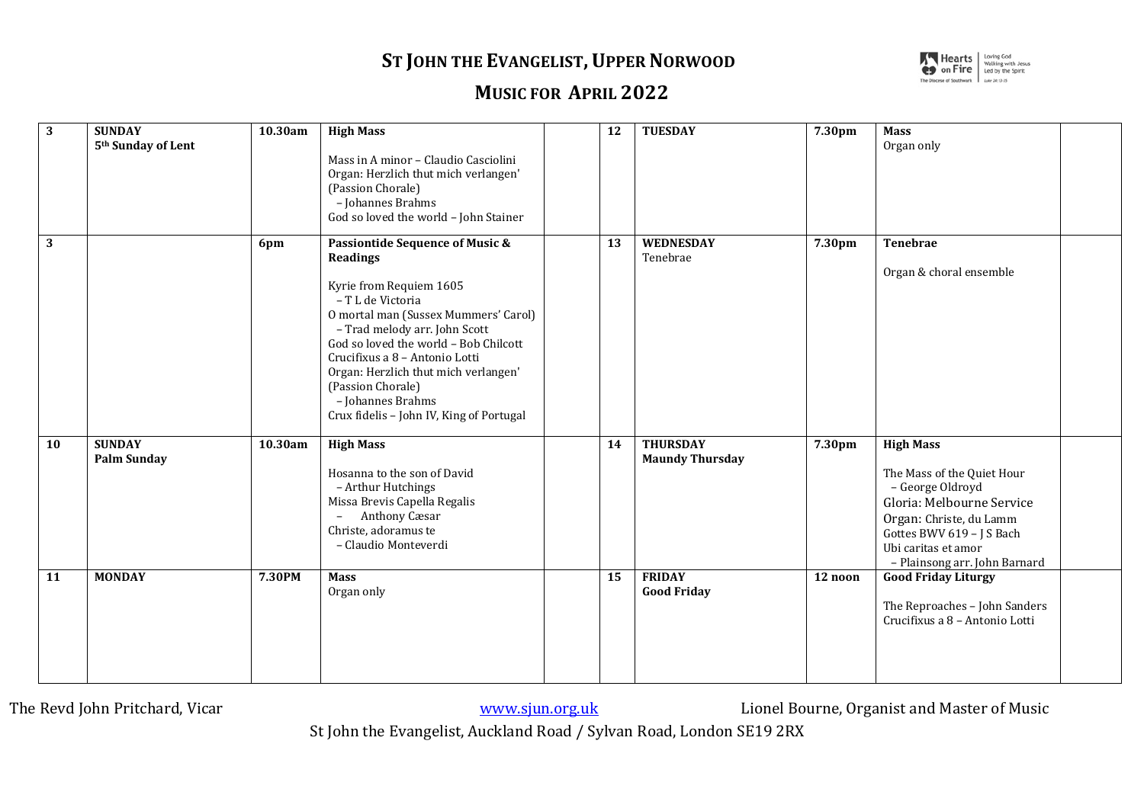## **ST JOHN THE EVANGELIST, UPPER NORWOOD**



## **MUSIC FOR APRIL 2022**

| 3         | <b>SUNDAY</b><br>5 <sup>th</sup> Sunday of Lent | 10.30am | <b>High Mass</b><br>Mass in A minor - Claudio Casciolini<br>Organ: Herzlich thut mich verlangen'<br>(Passion Chorale)<br>- Johannes Brahms<br>God so loved the world - John Stainer                                                                                                                                                                                                      | 12 | <b>TUESDAY</b>                            | 7.30pm  | <b>Mass</b><br>Organ only                                                                                                                                                                                       |  |
|-----------|-------------------------------------------------|---------|------------------------------------------------------------------------------------------------------------------------------------------------------------------------------------------------------------------------------------------------------------------------------------------------------------------------------------------------------------------------------------------|----|-------------------------------------------|---------|-----------------------------------------------------------------------------------------------------------------------------------------------------------------------------------------------------------------|--|
| 3         |                                                 | 6pm     | <b>Passiontide Sequence of Music &amp;</b><br>Readings<br>Kyrie from Requiem 1605<br>- T L de Victoria<br>O mortal man (Sussex Mummers' Carol)<br>- Trad melody arr. John Scott<br>God so loved the world - Bob Chilcott<br>Crucifixus a 8 - Antonio Lotti<br>Organ: Herzlich thut mich verlangen'<br>(Passion Chorale)<br>- Johannes Brahms<br>Crux fidelis - John IV, King of Portugal | 13 | WEDNESDAY<br>Tenebrae                     | 7.30pm  | <b>Tenebrae</b><br>Organ & choral ensemble                                                                                                                                                                      |  |
| <b>10</b> | <b>SUNDAY</b><br><b>Palm Sunday</b>             | 10.30am | <b>High Mass</b><br>Hosanna to the son of David<br>- Arthur Hutchings<br>Missa Brevis Capella Regalis<br>Anthony Cæsar<br>Christe, adoramus te<br>- Claudio Monteverdi                                                                                                                                                                                                                   | 14 | <b>THURSDAY</b><br><b>Maundy Thursday</b> | 7.30pm  | <b>High Mass</b><br>The Mass of the Quiet Hour<br>- George Oldroyd<br>Gloria: Melbourne Service<br>Organ: Christe, du Lamm<br>Gottes BWV 619 - J S Bach<br>Ubi caritas et amor<br>- Plainsong arr. John Barnard |  |
| <b>11</b> | <b>MONDAY</b>                                   | 7.30PM  | <b>Mass</b><br>Organ only                                                                                                                                                                                                                                                                                                                                                                | 15 | <b>FRIDAY</b><br><b>Good Friday</b>       | 12 noon | <b>Good Friday Liturgy</b><br>The Reproaches - John Sanders<br>Crucifixus a 8 - Antonio Lotti                                                                                                                   |  |

The Revd John Pritchard, Vicar www.sterage.com www.sterage.com Music Lionel Bourne, Organist and Master of Music

St John the Evangelist, Auckland Road / Sylvan Road, London SE19 2RX